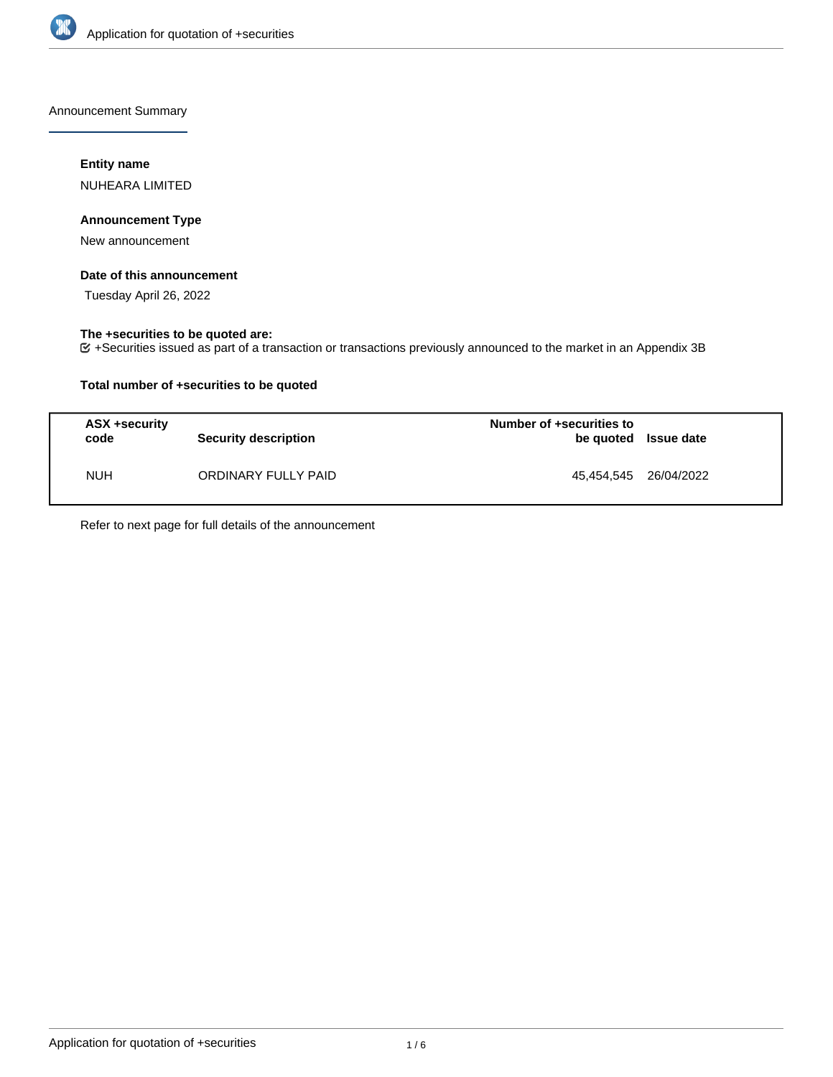

Announcement Summary

## **Entity name**

NUHEARA LIMITED

## **Announcement Type**

New announcement

## **Date of this announcement**

Tuesday April 26, 2022

### **The +securities to be quoted are:**

+Securities issued as part of a transaction or transactions previously announced to the market in an Appendix 3B

## **Total number of +securities to be quoted**

| ASX +security<br>code | <b>Security description</b> | Number of +securities to<br>be quoted Issue date |  |
|-----------------------|-----------------------------|--------------------------------------------------|--|
| <b>NUH</b>            | ORDINARY FULLY PAID         | 45.454.545 26/04/2022                            |  |

Refer to next page for full details of the announcement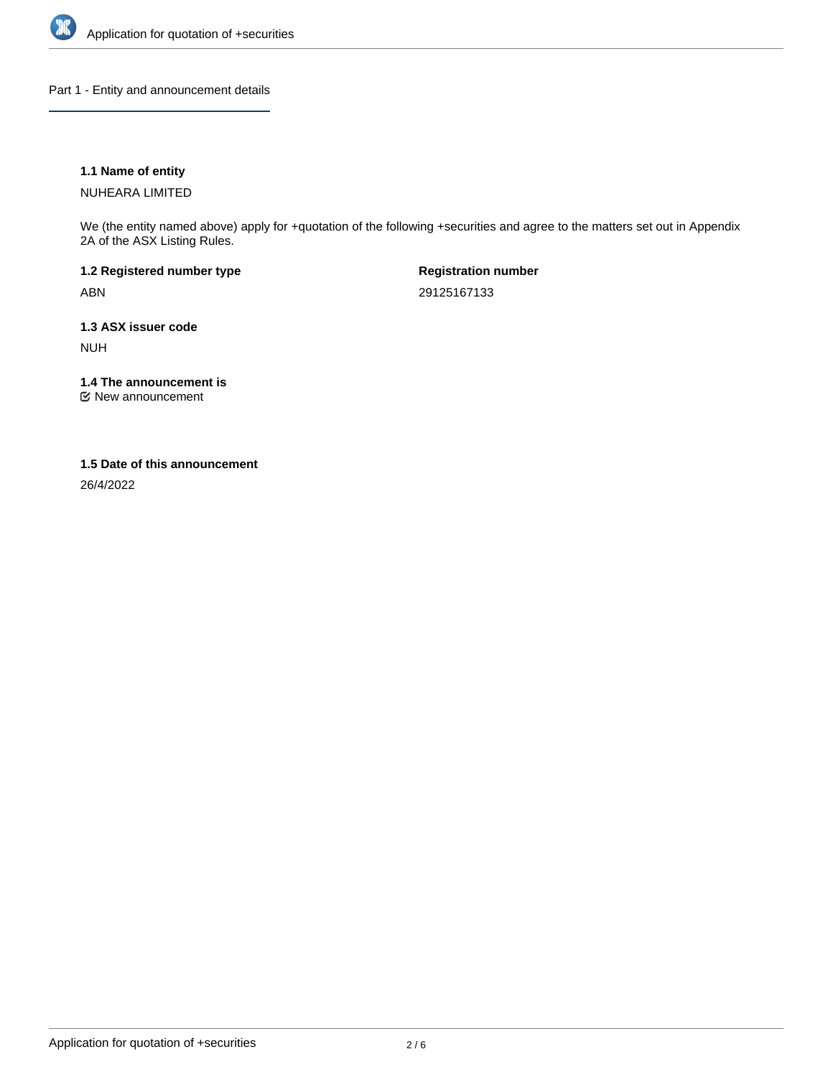

Part 1 - Entity and announcement details

## **1.1 Name of entity**

NUHEARA LIMITED

We (the entity named above) apply for +quotation of the following +securities and agree to the matters set out in Appendix 2A of the ASX Listing Rules.

**1.2 Registered number type** ABN

**Registration number** 29125167133

**1.3 ASX issuer code** NUH

**1.4 The announcement is**

New announcement

### **1.5 Date of this announcement**

26/4/2022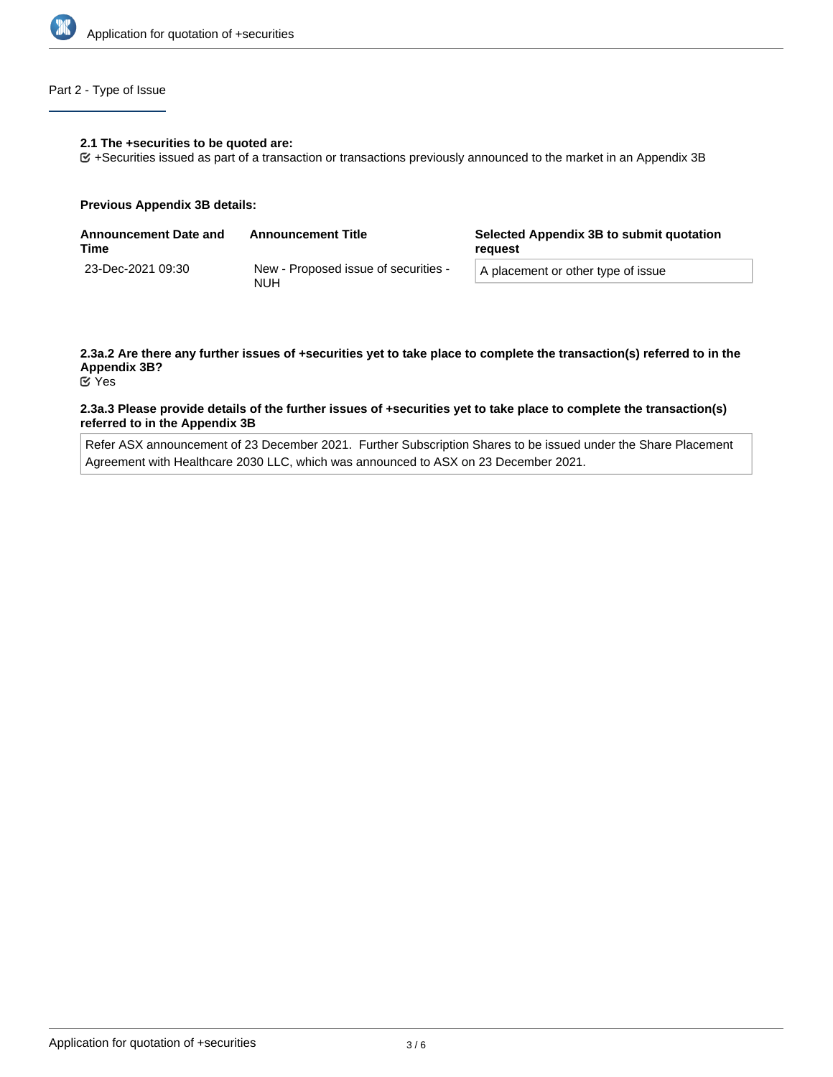

## Part 2 - Type of Issue

### **2.1 The +securities to be quoted are:**

+Securities issued as part of a transaction or transactions previously announced to the market in an Appendix 3B

### **Previous Appendix 3B details:**

| <b>Announcement Date and</b><br>Time | <b>Announcement Title</b>                          | Selected Appendix 3B to submit quotation<br>reauest |  |
|--------------------------------------|----------------------------------------------------|-----------------------------------------------------|--|
| 23-Dec-2021 09:30                    | New - Proposed issue of securities -<br><b>NUH</b> | A placement or other type of issue                  |  |

# **2.3a.2 Are there any further issues of +securities yet to take place to complete the transaction(s) referred to in the Appendix 3B?**

Yes

### **2.3a.3 Please provide details of the further issues of +securities yet to take place to complete the transaction(s) referred to in the Appendix 3B**

Refer ASX announcement of 23 December 2021. Further Subscription Shares to be issued under the Share Placement Agreement with Healthcare 2030 LLC, which was announced to ASX on 23 December 2021.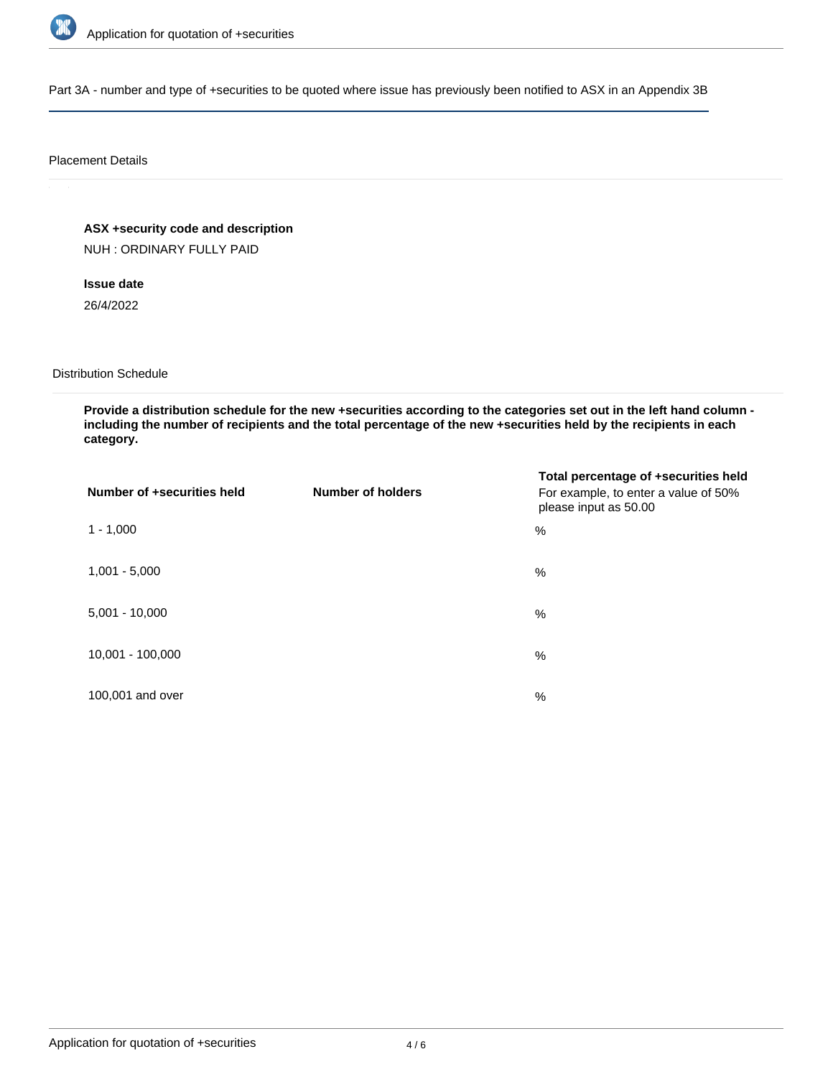

Part 3A - number and type of +securities to be quoted where issue has previously been notified to ASX in an Appendix 3B

### Placement Details

**ASX +security code and description**

NUH : ORDINARY FULLY PAID

**Issue date** 26/4/2022

Distribution Schedule

**Provide a distribution schedule for the new +securities according to the categories set out in the left hand column including the number of recipients and the total percentage of the new +securities held by the recipients in each category.**

| Number of +securities held | <b>Number of holders</b> | Total percentage of +securities held<br>For example, to enter a value of 50%<br>please input as 50.00 |
|----------------------------|--------------------------|-------------------------------------------------------------------------------------------------------|
| $1 - 1,000$                |                          | $\%$                                                                                                  |
| $1,001 - 5,000$            |                          | $\%$                                                                                                  |
| $5,001 - 10,000$           |                          | %                                                                                                     |
| 10,001 - 100,000           |                          | %                                                                                                     |
| 100,001 and over           |                          | $\%$                                                                                                  |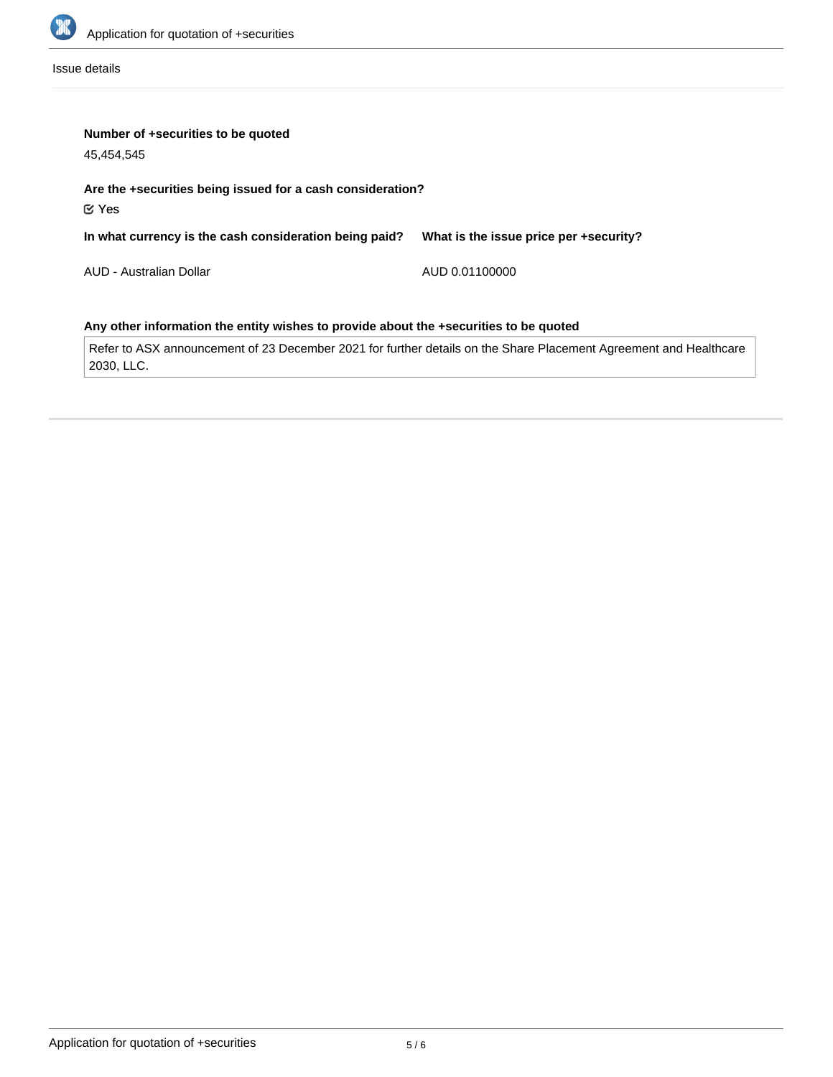

Issue details

| Number of +securities to be quoted<br>45,454,545                                      |                                        |  |  |  |
|---------------------------------------------------------------------------------------|----------------------------------------|--|--|--|
| Are the +securities being issued for a cash consideration?<br>$\mathfrak C$ Yes       |                                        |  |  |  |
| In what currency is the cash consideration being paid?                                | What is the issue price per +security? |  |  |  |
| AUD - Australian Dollar                                                               | AUD 0.01100000                         |  |  |  |
| Any other information the entity wishes to provide about the +securities to be quoted |                                        |  |  |  |

Refer to ASX announcement of 23 December 2021 for further details on the Share Placement Agreement and Healthcare 2030, LLC.